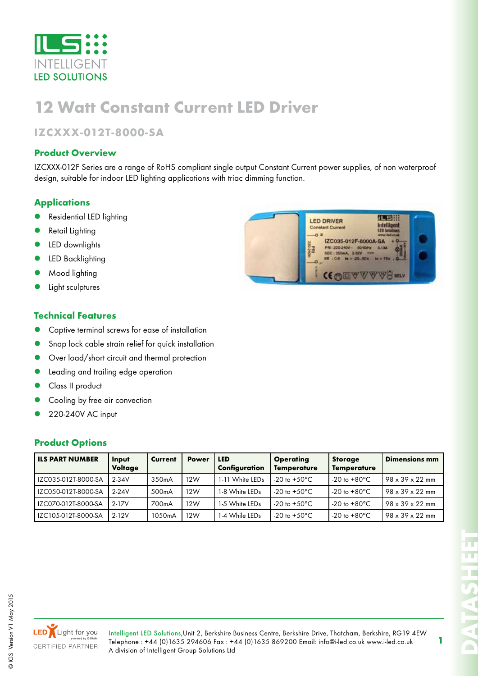

## **12 Watt Constant Current LED Driver**

### **IZCXXX-012T-8000-SA**

### **Product Overview**

IZCXXX-012F Series are a range of RoHS compliant single output Constant Current power supplies, of non waterproof design, suitable for indoor LED lighting applications with triac dimming function.

### **Applications**

- Residential LED lighting
- Retail Lighting
- LED downlights
- LED Backlighting
- Mood lighting
- Light sculptures

### **Technical Features**

- Captive terminal screws for ease of installation
- Snap lock cable strain relief for quick installation
- Over load/short circuit and thermal protection
- Leading and trailing edge operation
- Class II product
- Cooling by free air convection
- z 220-240V AC input

### **Product Options**

| <b>ILS PART NUMBER</b> | Input<br>Voltage | Current            | <b>Power</b> | <b>LED</b><br>Configuration | <b>Operating</b><br><b>Temperature</b> | <b>Storage</b><br><b>Temperature</b> | <b>Dimensions mm</b>         |
|------------------------|------------------|--------------------|--------------|-----------------------------|----------------------------------------|--------------------------------------|------------------------------|
| IZC035-012T-8000-SA    | $2 - 34V$        | 350mA              | 12W          | 1-11 White LEDs             | -20 to $+50^{\circ}$ C                 | $-20$ to $+80^{\circ}$ C             | $.98 \times 39 \times 22$ mm |
| IZC050-012T-8000-SA    | $2-24V$          | 500 <sub>m</sub> A | 12W          | 1-8 White LEDs              | -20 to $+50^{\circ}$ C                 | $-20$ to $+80^{\circ}$ C             | $98 \times 39 \times 22$ mm  |
| IZC070-012T-8000-SA    | $2 - 17V$        | 700mA              | 12W          | 1-5 White LEDs              | -20 to $+50^{\circ}$ C                 | $-20$ to $+80^{\circ}$ C             | $98 \times 39 \times 22$ mm  |
| IZC105-012T-8000-SA    | $2-12V$          | 1050mA             | 12W          | I-4 While LEDs              | -20 to $+50^{\circ}$ C                 | $-20$ to $+80^{\circ}$ C             | $98 \times 39 \times 22$ mm  |





Intelligent LED Solutions,Unit 2, Berkshire Business Centre, Berkshire Drive, Thatcham, Berkshire, RG19 4EW Telephone : +44 (0)1635 294606 Fax : +44 (0)1635 869200 Email: info@i-led.co.uk www.i-led.co.uk A division of Intelligent Group Solutions Ltd

 $\overline{\circ}$ 

**DATASHEET**

**1**